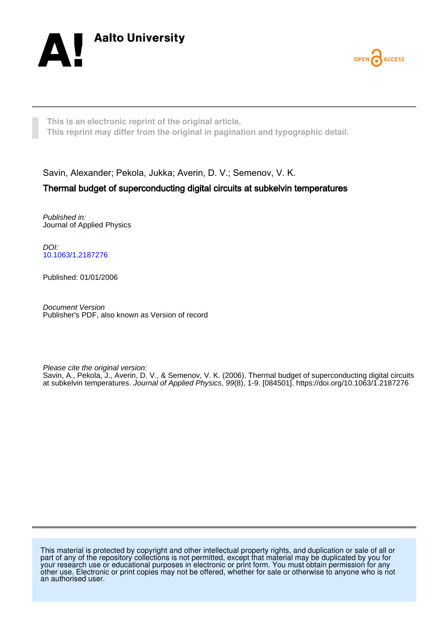



**This is an electronic reprint of the original article. This reprint may differ from the original in pagination and typographic detail.**

Savin, Alexander; Pekola, Jukka; Averin, D. V.; Semenov, V. K.

# Thermal budget of superconducting digital circuits at subkelvin temperatures

Published in: Journal of Applied Physics

DOI: [10.1063/1.2187276](https://doi.org/10.1063/1.2187276)

Published: 01/01/2006

Document Version Publisher's PDF, also known as Version of record

Please cite the original version:

Savin, A., Pekola, J., Averin, D. V., & Semenov, V. K. (2006). Thermal budget of superconducting digital circuits at subkelvin temperatures. Journal of Applied Physics, 99(8), 1-9. [084501].<https://doi.org/10.1063/1.2187276>

This material is protected by copyright and other intellectual property rights, and duplication or sale of all or part of any of the repository collections is not permitted, except that material may be duplicated by you for your research use or educational purposes in electronic or print form. You must obtain permission for any other use. Electronic or print copies may not be offered, whether for sale or otherwise to anyone who is not an authorised user.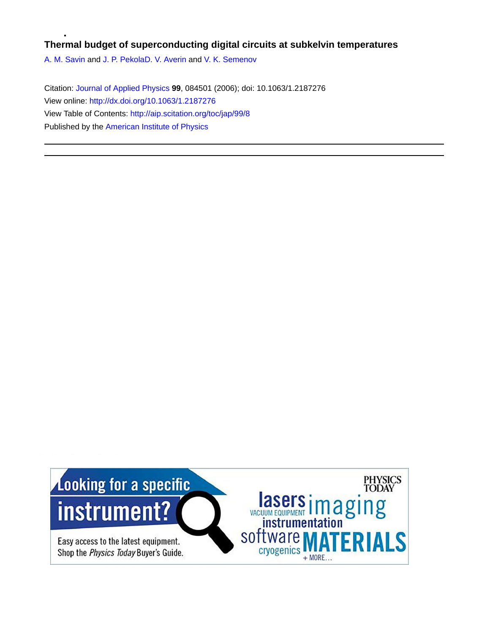## **Thermal budget of superconducting digital circuits at subkelvin temperatures**

[A. M. Savin](http://aip.scitation.org/author/Savin%2C+A+M) and [J. P. Pekola](http://aip.scitation.org/author/Pekola%2C+J+P)[D. V. Averin](http://aip.scitation.org/author/Averin%2C+D+V) and [V. K. Semenov](http://aip.scitation.org/author/Semenov%2C+V+K)

Citation: [Journal of Applied Physics](/loi/jap) **99**, 084501 (2006); doi: 10.1063/1.2187276 View online: <http://dx.doi.org/10.1063/1.2187276> View Table of Contents: <http://aip.scitation.org/toc/jap/99/8> Published by the [American Institute of Physics](http://aip.scitation.org/publisher/)

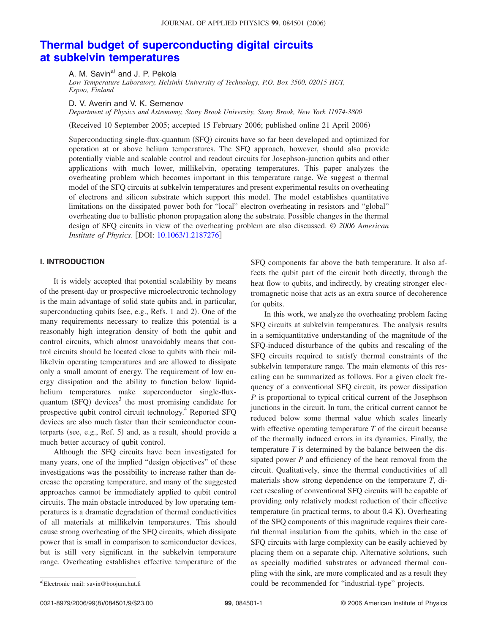## **[Thermal budget of superconducting digital circuits](http://dx.doi.org/10.1063/1.2187276) [at subkelvin temperatures](http://dx.doi.org/10.1063/1.2187276)**

A. M. Savin<sup>a)</sup> and J. P. Pekola

*Low Temperature Laboratory, Helsinki University of Technology, P.O. Box 3500, 02015 HUT, Espoo, Finland*

D. V. Averin and V. K. Semenov

*Department of Physics and Astronomy, Stony Brook University, Stony Brook, New York 11974-3800*

(Received 10 September 2005; accepted 15 February 2006; published online 21 April 2006)

Superconducting single-flux-quantum (SFQ) circuits have so far been developed and optimized for operation at or above helium temperatures. The SFQ approach, however, should also provide potentially viable and scalable control and readout circuits for Josephson-junction qubits and other applications with much lower, millikelvin, operating temperatures. This paper analyzes the overheating problem which becomes important in this temperature range. We suggest a thermal model of the SFQ circuits at subkelvin temperatures and present experimental results on overheating of electrons and silicon substrate which support this model. The model establishes quantitative limitations on the dissipated power both for "local" electron overheating in resistors and "global" overheating due to ballistic phonon propagation along the substrate. Possible changes in the thermal design of SFQ circuits in view of the overheating problem are also discussed. © *2006 American Institute of Physics*. DOI: [10.1063/1.2187276](http://dx.doi.org/10.1063/1.2187276)

### **I. INTRODUCTION**

It is widely accepted that potential scalability by means of the present-day or prospective microelectronic technology is the main advantage of solid state qubits and, in particular, superconducting qubits (see, e.g., Refs. 1 and 2). One of the many requirements necessary to realize this potential is a reasonably high integration density of both the qubit and control circuits, which almost unavoidably means that control circuits should be located close to qubits with their millikelvin operating temperatures and are allowed to dissipate only a small amount of energy. The requirement of low energy dissipation and the ability to function below liquidhelium temperatures make superconductor single-fluxquantum (SFQ) devices<sup>3</sup> the most promising candidate for prospective qubit control circuit technology.<sup>4</sup> Reported SFQ devices are also much faster than their semiconductor counterparts (see, e.g., Ref. 5) and, as a result, should provide a much better accuracy of qubit control.

Although the SFQ circuits have been investigated for many years, one of the implied "design objectives" of these investigations was the possibility to increase rather than decrease the operating temperature, and many of the suggested approaches cannot be immediately applied to qubit control circuits. The main obstacle introduced by low operating temperatures is a dramatic degradation of thermal conductivities of all materials at millikelvin temperatures. This should cause strong overheating of the SFQ circuits, which dissipate power that is small in comparison to semiconductor devices, but is still very significant in the subkelvin temperature range. Overheating establishes effective temperature of the

SFQ components far above the bath temperature. It also affects the qubit part of the circuit both directly, through the heat flow to qubits, and indirectly, by creating stronger electromagnetic noise that acts as an extra source of decoherence for qubits.

In this work, we analyze the overheating problem facing SFQ circuits at subkelvin temperatures. The analysis results in a semiquantitative understanding of the magnitude of the SFQ-induced disturbance of the qubits and rescaling of the SFQ circuits required to satisfy thermal constraints of the subkelvin temperature range. The main elements of this rescaling can be summarized as follows. For a given clock frequency of a conventional SFQ circuit, its power dissipation *P* is proportional to typical critical current of the Josephson junctions in the circuit. In turn, the critical current cannot be reduced below some thermal value which scales linearly with effective operating temperature *T* of the circuit because of the thermally induced errors in its dynamics. Finally, the temperature *T* is determined by the balance between the dissipated power *P* and efficiency of the heat removal from the circuit. Qualitatively, since the thermal conductivities of all materials show strong dependence on the temperature *T*, direct rescaling of conventional SFQ circuits will be capable of providing only relatively modest reduction of their effective temperature (in practical terms, to about 0.4 K). Overheating of the SFQ components of this magnitude requires their careful thermal insulation from the qubits, which in the case of SFQ circuits with large complexity can be easily achieved by placing them on a separate chip. Alternative solutions, such as specially modified substrates or advanced thermal coupling with the sink, are more complicated and as a result they could be recommended for "industrial-type" projects.

0021-8979/2006/99(8)/084501/9/\$23.00

Electronic mail: savin@boojum.hut.fi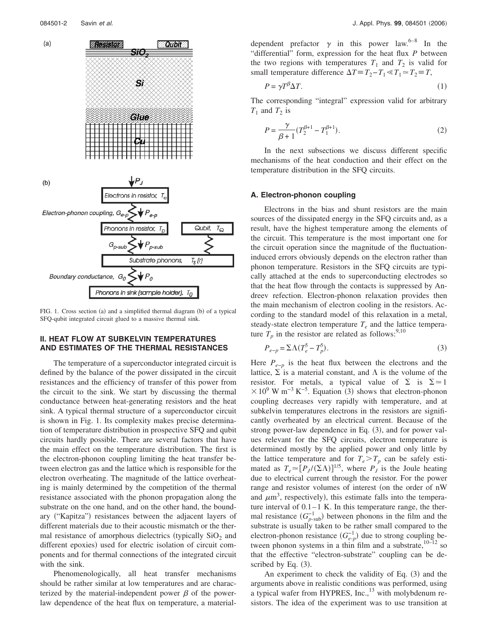

FIG. 1. Cross section (a) and a simplified thermal diagram (b) of a typical SFQ-qubit integrated circuit glued to a massive thermal sink.

## **II. HEAT FLOW AT SUBKELVIN TEMPERATURES AND ESTIMATES OF THE THERMAL RESISTANCES**

The temperature of a superconductor integrated circuit is defined by the balance of the power dissipated in the circuit resistances and the efficiency of transfer of this power from the circuit to the sink. We start by discussing the thermal conductance between heat-generating resistors and the heat sink. A typical thermal structure of a superconductor circuit is shown in Fig. 1. Its complexity makes precise determination of temperature distribution in prospective SFQ and qubit circuits hardly possible. There are several factors that have the main effect on the temperature distribution. The first is the electron-phonon coupling limiting the heat transfer between electron gas and the lattice which is responsible for the electron overheating. The magnitude of the lattice overheating is mainly determined by the competition of the thermal resistance associated with the phonon propagation along the substrate on the one hand, and on the other hand, the boundary ("Kapitza") resistances between the adjacent layers of different materials due to their acoustic mismatch or the thermal resistance of amorphous dielectrics (typically  $SiO<sub>2</sub>$  and different epoxies) used for electric isolation of circuit components and for thermal connections of the integrated circuit with the sink.

Phenomenologically, all heat transfer mechanisms should be rather similar at low temperatures and are characterized by the material-independent power  $\beta$  of the powerlaw dependence of the heat flux on temperature, a material-

dependent prefactor  $\gamma$  in this power law.<sup>6–8</sup> In the "differential" form, expression for the heat flux *P* between the two regions with temperatures  $T_1$  and  $T_2$  is valid for small temperature difference  $\Delta T \equiv T_2 - T_1 \ll T_1 \approx T_2 \equiv T$ ,

$$
P = \gamma T^{\beta} \Delta T. \tag{1}
$$

The corresponding "integral" expression valid for arbitrary  $T_1$  and  $T_2$  is

$$
P = \frac{\gamma}{\beta + 1} (T_2^{\beta + 1} - T_1^{\beta + 1}).
$$
 (2)

In the next subsections we discuss different specific mechanisms of the heat conduction and their effect on the temperature distribution in the SFQ circuits.

#### **A. Electron-phonon coupling**

Electrons in the bias and shunt resistors are the main sources of the dissipated energy in the SFQ circuits and, as a result, have the highest temperature among the elements of the circuit. This temperature is the most important one for the circuit operation since the magnitude of the fluctuationinduced errors obviously depends on the electron rather than phonon temperature. Resistors in the SFQ circuits are typically attached at the ends to superconducting electrodes so that the heat flow through the contacts is suppressed by Andreev refection. Electron-phonon relaxation provides then the main mechanism of electron cooling in the resistors. According to the standard model of this relaxation in a metal, steady-state electron temperature  $T_e$  and the lattice temperature  $T_p$  in the resistor are related as follows:<sup>9,10</sup>

$$
P_{e-p} = \Sigma \Lambda (T_e^5 - T_p^5). \tag{3}
$$

Here  $P_{e-p}$  is the heat flux between the electrons and the lattice,  $\Sigma$  is a material constant, and  $\Lambda$  is the volume of the resistor. For metals, a typical value of  $\Sigma$  is  $\Sigma \approx 1$  $\times$  10<sup>9</sup> W m<sup>-3</sup> K<sup>-5</sup>. Equation (3) shows that electron-phonon coupling decreases very rapidly with temperature, and at subkelvin temperatures electrons in the resistors are significantly overheated by an electrical current. Because of the strong power-law dependence in Eq. (3), and for power values relevant for the SFQ circuits, electron temperature is determined mostly by the applied power and only little by the lattice temperature and for  $T_e > T_p$  can be safely estimated as  $T_e \approx [P_J/(\Sigma \Lambda)]^{1/5}$ , where  $P_J$  is the Joule heating due to electrical current through the resistor. For the power range and resistor volumes of interest (on the order of nW and  $\mu$ m<sup>3</sup>, respectively), this estimate falls into the temperature interval of  $0.1-1$  K. In this temperature range, the thermal resistance  $(G_{p-sub}^{-1})$  between phonons in the film and the substrate is usually taken to be rather small compared to the electron-phonon resistance  $(G_{e-p}^{-1})$  due to strong coupling between phonon systems in a thin film and a substrate,  $10^{-12}$  so that the effective "electron-substrate" coupling can be described by Eq.  $(3)$ .

An experiment to check the validity of Eq.  $(3)$  and the arguments above in realistic conditions was performed, using a typical wafer from HYPRES, Inc., $^{13}$  with molybdenum resistors. The idea of the experiment was to use transition at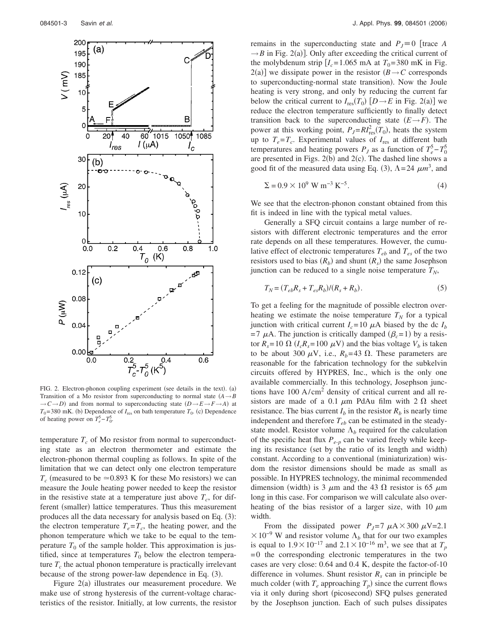

FIG. 2. Electron-phonon coupling experiment (see details in the text). (a) Transition of a Mo resistor from superconducting to normal state  $(A \rightarrow B$  $\rightarrow$  *C* $\rightarrow$ *D*) and from normal to superconducting state  $(D \rightarrow E \rightarrow F \rightarrow A)$  at  $T_0$ =380 mK. (b) Dependence of  $I_{res}$  on bath temperature  $T_0$ . (c) Dependence of heating power on  $T_e^5 - T_0^5$ .

temperature  $T_c$  of Mo resistor from normal to superconducting state as an electron thermometer and estimate the electron-phonon thermal coupling as follows. In spite of the limitation that we can detect only one electron temperature  $T_c$  (measured to be  $\approx 0.893$  K for these Mo resistors) we can measure the Joule heating power needed to keep the resistor in the resistive state at a temperature just above  $T_c$ , for different (smaller) lattice temperatures. Thus this measurement produces all the data necessary for analysis based on Eq. (3): the electron temperature  $T_e = T_c$ , the heating power, and the phonon temperature which we take to be equal to the temperature  $T_0$  of the sample holder. This approximation is justified, since at temperatures  $T_0$  below the electron temperature  $T_c$  the actual phonon temperature is practically irrelevant because of the strong power-law dependence in Eq. (3).

Figure  $2(a)$  illustrates our measurement procedure. We make use of strong hysteresis of the current-voltage characteristics of the resistor. Initially, at low currents, the resistor remains in the superconducting state and  $P<sub>J</sub> = 0$  [trace *A*  $\rightarrow$  *B* in Fig. 2(a)]. Only after exceeding the critical current of the molybdenum strip  $[I_c=1.065 \text{ mA}$  at  $T_0=380 \text{ mK}$  in Fig.  $2(a)$  we dissipate power in the resistor  $(B \rightarrow C$  corresponds to superconducting-normal state transition). Now the Joule heating is very strong, and only by reducing the current far below the critical current to  $I_{res}(T_0)$   $[D \rightarrow E$  in Fig. 2(a)] we reduce the electron temperature sufficiently to finally detect transition back to the superconducting state  $(E \rightarrow F)$ . The power at this working point,  $P_J = RI_{\text{res}}^2(T_0)$ , heats the system up to  $T_e = T_c$ . Experimental values of  $I_{res}$  at different bath temperatures and heating powers  $P_J$  as a function of  $T_e^5 - T_0^5$ are presented in Figs.  $2(b)$  and  $2(c)$ . The dashed line shows a good fit of the measured data using Eq. (3),  $\Lambda = 24 \ \mu m^3$ , and

$$
\Sigma = 0.9 \times 10^9 \text{ W m}^{-3} \text{ K}^{-5}.
$$
 (4)

We see that the electron-phonon constant obtained from this fit is indeed in line with the typical metal values.

Generally a SFQ circuit contains a large number of resistors with different electronic temperatures and the error rate depends on all these temperatures. However, the cumulative effect of electronic temperatures  $T_{eb}$  and  $T_{es}$  of the two resistors used to bias  $(R_b)$  and shunt  $(R_s)$  the same Josephson junction can be reduced to a single noise temperature  $T_N$ ,

$$
T_N = (T_{eb}R_s + T_{es}R_b)/(R_s + R_b).
$$
 (5)

To get a feeling for the magnitude of possible electron overheating we estimate the noise temperature  $T_N$  for a typical junction with critical current  $I_c = 10 \mu A$  biased by the dc  $I_b$  $= 7 \mu A$ . The junction is critically damped *(* $\beta_c = 1$ *)* by a resistor  $R_s = 10 \Omega (I_c R_s = 100 \mu V)$  and the bias voltage  $V_b$  is taken to be about 300  $\mu$ V, i.e.,  $R_b$ =43  $\Omega$ . These parameters are reasonable for the fabrication technology for the subkelvin circuits offered by HYPRES, Inc., which is the only one available commercially. In this technology, Josephson junctions have 100 A/cm2 density of critical current and all resistors are made of a 0.1  $\mu$ m PdAu film with 2  $\Omega$  sheet resistance. The bias current  $I<sub>b</sub>$  in the resistor  $R<sub>b</sub>$  is nearly time independent and therefore  $T_{eb}$  can be estimated in the steadystate model. Resistor volume  $\Lambda_b$  required for the calculation of the specific heat flux  $P_{e-p}$  can be varied freely while keeping its resistance (set by the ratio of its length and width) constant. According to a conventional (miniaturization) wisdom the resistor dimensions should be made as small as possible. In HYPRES technology, the minimal recommended dimension (width) is 3  $\mu$ m and the 43  $\Omega$  resistor is 65  $\mu$ m long in this case. For comparison we will calculate also overheating of the bias resistor of a larger size, with 10  $\mu$ m width.

From the dissipated power  $P_J = 7 \mu A \times 300 \mu V = 2.1$  $\times 10^{-9}$  W and resistor volume  $\Lambda_b$  that for our two examples is equal to  $1.9 \times 10^{-17}$  and  $2.1 \times 10^{-16}$  m<sup>3</sup>, we see that at  $T_p$  $= 0$  the corresponding electronic temperatures in the two cases are very close: 0.64 and 0.4 K, despite the factor-of-10 difference in volumes. Shunt resistor  $R_s$  can in principle be much colder (with  $T_e$  approaching  $T_p$ ) since the current flows via it only during short (picosecond) SFQ pulses generated by the Josephson junction. Each of such pulses dissipates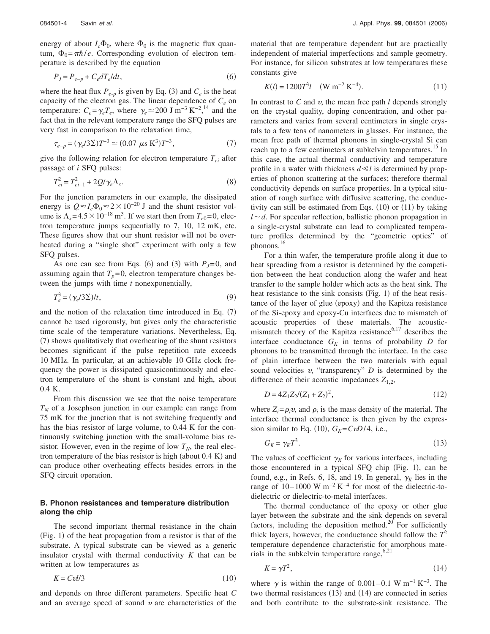energy of about  $I_c\Phi_0$ , where  $\Phi_0$  is the magnetic flux quantum,  $\Phi_0 = \pi \hbar / e$ . Corresponding evolution of electron temperature is described by the equation

$$
P_J = P_{e-p} + C_e dT_e/dt,\tag{6}
$$

where the heat flux  $P_{e-p}$  is given by Eq. (3) and  $C_e$  is the heat capacity of the electron gas. The linear dependence of  $C_e$  on temperature:  $C_e = \gamma_e T_e$ , where  $\gamma_e \approx 200 \text{ J m}^{-3} \text{ K}^{-2}$ ,<sup>14</sup> and the fact that in the relevant temperature range the SFQ pulses are very fast in comparison to the relaxation time,

$$
\tau_{e-p} = (\gamma_e / 3\Sigma) T^{-3} \simeq (0.07 \ \mu s \ K^3) T^{-3},\tag{7}
$$

give the following relation for electron temperature  $T_{ei}$  after passage of *i* SFQ pulses:

$$
T_{ei}^2 = T_{ei-1}^2 + 2Q/\gamma_e \Lambda_s.
$$
 (8)

For the junction parameters in our example, the dissipated energy is  $Q \approx I_c \Phi_0 \approx 2 \times 10^{-20}$  J and the shunt resistor volume is  $\Lambda_s = 4.5 \times 10^{-18} \text{ m}^3$ . If we start then from  $T_{e0} = 0$ , electron temperature jumps sequentially to 7, 10, 12 mK, etc. These figures show that our shunt resistor will not be overheated during a "single shot" experiment with only a few SFQ pulses.

As one can see from Eqs. (6) and (3) with  $P_J=0$ , and assuming again that  $T_p = 0$ , electron temperature changes between the jumps with time *t* nonexponentially,

$$
T_e^3 = (\gamma_e/3\Sigma)/t,\tag{9}
$$

and the notion of the relaxation time introduced in Eq.  $(7)$ cannot be used rigorously, but gives only the characteristic time scale of the temperature variations. Nevertheless, Eq. (7) shows qualitatively that overheating of the shunt resistors becomes significant if the pulse repetition rate exceeds 10 MHz. In particular, at an achievable 10 GHz clock frequency the power is dissipated quasicontinuously and electron temperature of the shunt is constant and high, about 0.4 K.

From this discussion we see that the noise temperature  $T_N$  of a Josephson junction in our example can range from 75 mK for the junction that is not switching frequently and has the bias resistor of large volume, to 0.44 K for the continuously switching junction with the small-volume bias resistor. However, even in the regime of low  $T_N$ , the real electron temperature of the bias resistor is high (about 0.4 K) and can produce other overheating effects besides errors in the SFQ circuit operation.

#### **B. Phonon resistances and temperature distribution along the chip**

The second important thermal resistance in the chain (Fig. 1) of the heat propagation from a resistor is that of the substrate. A typical substrate can be viewed as a generic insulator crystal with thermal conductivity *K* that can be written at low temperatures as

 $K = Cvl/3$  $(10)$ 

and depends on three different parameters. Specific heat *C* and an average speed of sound  $\nu$  are characteristics of the material that are temperature dependent but are practically independent of material imperfections and sample geometry. For instance, for silicon substrates at low temperatures these constants give

$$
K(l) = 1200T^3l \quad (\text{W m}^{-2} \text{ K}^{-4}). \tag{11}
$$

In contrast to  $C$  and  $v$ , the mean free path  $l$  depends strongly on the crystal quality, doping concentration, and other parameters and varies from several centimeters in single crystals to a few tens of nanometers in glasses. For instance, the mean free path of thermal phonons in single-crystal Si can reach up to a few centimeters at subkelvin temperatures.<sup>15</sup> In this case, the actual thermal conductivity and temperature profile in a wafer with thickness  $d \ll l$  is determined by properties of phonon scattering at the surfaces; therefore thermal conductivity depends on surface properties. In a typical situation of rough surface with diffusive scattering, the conductivity can still be estimated from Eqs.  $(10)$  or  $(11)$  by taking  $l \sim d$ . For specular reflection, ballistic phonon propagation in a single-crystal substrate can lead to complicated temperature profiles determined by the "geometric optics" of phonons.<sup>16</sup>

For a thin wafer, the temperature profile along it due to heat spreading from a resistor is determined by the competition between the heat conduction along the wafer and heat transfer to the sample holder which acts as the heat sink. The heat resistance to the sink consists (Fig. 1) of the heat resistance of the layer of glue (epoxy) and the Kapitza resistance of the Si-epoxy and epoxy-Cu interfaces due to mismatch of acoustic properties of these materials. The acousticmismatch theory of the Kapitza resistance $6,17$  describes the interface conductance  $G_K$  in terms of probability *D* for phonons to be transmitted through the interface. In the case of plain interface between the two materials with equal sound velocities  $v$ , "transparency"  $D$  is determined by the difference of their acoustic impedances  $Z_{1,2}$ ,

$$
D = 4Z_1 Z_2 / (Z_1 + Z_2)^2, \tag{12}
$$

where  $Z_i = \rho_i v$ , and  $\rho_i$  is the mass density of the material. The interface thermal conductance is then given by the expression similar to Eq. (10),  $G_K = \frac{CvD}{4}$ , i.e.,

$$
G_K = \gamma_K T^3. \tag{13}
$$

The values of coefficient  $\gamma_K$  for various interfaces, including those encountered in a typical SFQ chip (Fig. 1), can be found, e.g., in Refs. 6, 18, and 19. In general,  $\gamma_K$  lies in the range of 10–1000 W m<sup>-2</sup> K<sup>-4</sup> for most of the dielectric-todielectric or dielectric-to-metal interfaces.

The thermal conductance of the epoxy or other glue layer between the substrate and the sink depends on several factors, including the deposition method.<sup>20</sup> For sufficiently thick layers, however, the conductance should follow the  $T^2$ temperature dependence characteristic for amorphous materials in the subkelvin temperature range,  $6.21$ 

$$
K = \gamma T^2,\tag{14}
$$

where  $\gamma$  is within the range of 0.001–0.1 W m<sup>-1</sup> K<sup>-3</sup>. The two thermal resistances  $(13)$  and  $(14)$  are connected in series and both contribute to the substrate-sink resistance. The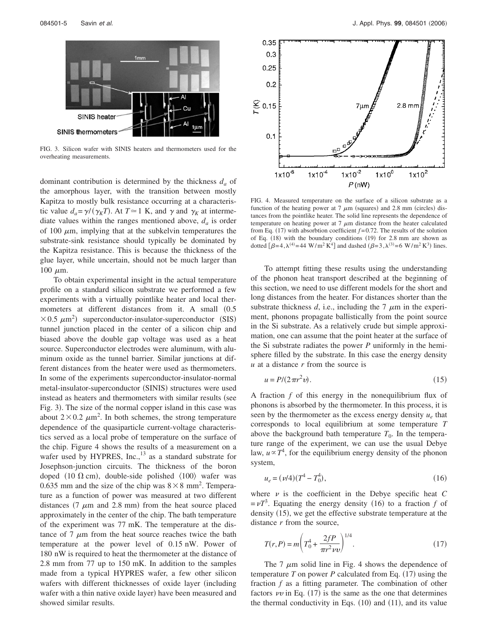

FIG. 3. Silicon wafer with SINIS heaters and thermometers used for the overheating measurements.

dominant contribution is determined by the thickness *da* of the amorphous layer, with the transition between mostly Kapitza to mostly bulk resistance occurring at a characteristic value  $d_a = \gamma / (\gamma_K T)$ . At  $T \approx 1$  K, and  $\gamma$  and  $\gamma_K$  at intermediate values within the ranges mentioned above,  $d_a$  is order of 100  $\mu$ m, implying that at the subkelvin temperatures the substrate-sink resistance should typically be dominated by the Kapitza resistance. This is because the thickness of the glue layer, while uncertain, should not be much larger than 100  $\mu$ m.

To obtain experimental insight in the actual temperature profile on a standard silicon substrate we performed a few experiments with a virtually pointlike heater and local thermometers at different distances from it. A small  $(0.5)$  $\times$  0.5  $\mu$ m<sup>2</sup>) superconductor-insulator-superconductor (SIS) tunnel junction placed in the center of a silicon chip and biased above the double gap voltage was used as a heat source. Superconductor electrodes were aluminum, with aluminum oxide as the tunnel barrier. Similar junctions at different distances from the heater were used as thermometers. In some of the experiments superconductor-insulator-normal metal-insulator-superconductor (SINIS) structures were used instead as heaters and thermometers with similar results (see Fig. 3). The size of the normal copper island in this case was about  $2 \times 0.2 \ \mu m^2$ . In both schemes, the strong temperature dependence of the quasiparticle current-voltage characteristics served as a local probe of temperature on the surface of the chip. Figure 4 shows the results of a measurement on a wafer used by HYPRES, Inc., $^{13}$  as a standard substrate for Josephson-junction circuits. The thickness of the boron doped  $(10 \Omega \text{ cm})$ , double-side polished  $\langle 100 \rangle$  wafer was 0.635 mm and the size of the chip was  $8 \times 8$  mm<sup>2</sup>. Temperature as a function of power was measured at two different distances  $(7 \mu m$  and 2.8 mm) from the heat source placed approximately in the center of the chip. The bath temperature of the experiment was 77 mK. The temperature at the distance of 7  $\mu$ m from the heat source reaches twice the bath temperature at the power level of 0.15 nW. Power of 180 nW is required to heat the thermometer at the distance of 2.8 mm from 77 up to 150 mK. In addition to the samples made from a typical HYPRES wafer, a few other silicon wafers with different thicknesses of oxide layer (including wafer with a thin native oxide layer) have been measured and showed similar results.



FIG. 4. Measured temperature on the surface of a silicon substrate as a function of the heating power at  $7 \mu m$  (squares) and 2.8 mm (circles) distances from the pointlike heater. The solid line represents the dependence of temperature on heating power at  $7 \mu m$  distance from the heater calculated from Eq. (17) with absorbtion coefficient  $f = 0.72$ . The results of the solution of Eq. (18) with the boundary conditions (19) for 2.8 mm are shown as dotted  $[\beta = 4, \lambda^{(4)} = 44 \text{ W/m}^2 \text{ K}^4]$  and dashed  $(\beta = 3, \lambda^{(3)} = 6 \text{ W/m}^2 \text{ K}^3)$  lines.

To attempt fitting these results using the understanding of the phonon heat transport described at the beginning of this section, we need to use different models for the short and long distances from the heater. For distances shorter than the substrate thickness  $d$ , i.e., including the 7  $\mu$ m in the experiment, phonons propagate ballistically from the point source in the Si substrate. As a relatively crude but simple approximation, one can assume that the point heater at the surface of the Si substrate radiates the power *P* uniformly in the hemisphere filled by the substrate. In this case the energy density *u* at a distance *r* from the source is

$$
u = P/(2\pi r^2 v). \tag{15}
$$

A fraction *f* of this energy in the nonequilibrium flux of phonons is absorbed by the thermometer. In this process, it is seen by the thermometer as the excess energy density  $u_e$  that corresponds to local equilibrium at some temperature *T* above the background bath temperature  $T_0$ . In the temperature range of the experiment, we can use the usual Debye law,  $u \propto T^4$ , for the equilibrium energy density of the phonon system,

$$
u_e = (\nu/4)(T^4 - T_0^4),\tag{16}
$$

where  $\nu$  is the coefficient in the Debye specific heat  $C$  $= \nu T^3$ . Equating the energy density (16) to a fraction *f* of density (15), we get the effective substrate temperature at the distance *r* from the source,

$$
T(r, P) = m \left( T_0^4 + \frac{2fP}{\pi r^2 \nu v} \right)^{1/4}.
$$
 (17)

The 7  $\mu$ m solid line in Fig. 4 shows the dependence of temperature  $T$  on power  $P$  calculated from Eq.  $(17)$  using the fraction *f* as a fitting parameter. The combination of other factors  $\nu$ *v* in Eq. (17) is the same as the one that determines the thermal conductivity in Eqs.  $(10)$  and  $(11)$ , and its value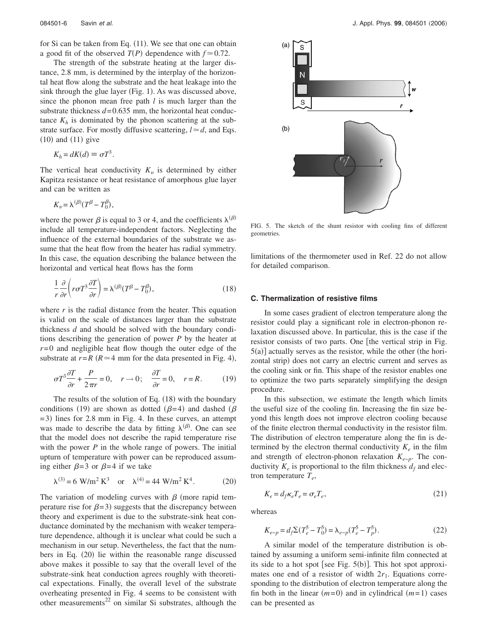for Si can be taken from Eq. (11). We see that one can obtain a good fit of the observed  $T(P)$  dependence with  $f \approx 0.72$ .

The strength of the substrate heating at the larger distance, 2.8 mm, is determined by the interplay of the horizontal heat flow along the substrate and the heat leakage into the sink through the glue layer (Fig. 1). As was discussed above, since the phonon mean free path *l* is much larger than the substrate thickness  $d = 0.635$  mm, the horizontal heat conductance  $K_h$  is dominated by the phonon scattering at the substrate surface. For mostly diffusive scattering,  $l \approx d$ , and Eqs.  $(10)$  and  $(11)$  give

$$
K_h = dK(d) \equiv \sigma T^3.
$$

The vertical heat conductivity  $K<sub>v</sub>$  is determined by either Kapitza resistance or heat resistance of amorphous glue layer and can be written as

$$
K_v = \lambda^{(\beta)} (T^{\beta} - T_0^{\beta}),
$$

where the power  $\beta$  is equal to 3 or 4, and the coefficients  $\lambda^{(\beta)}$ include all temperature-independent factors. Neglecting the influence of the external boundaries of the substrate we assume that the heat flow from the heater has radial symmetry. In this case, the equation describing the balance between the horizontal and vertical heat flows has the form

$$
\frac{1}{r}\frac{\partial}{\partial r}\left(r\sigma T^3 \frac{\partial T}{\partial r}\right) = \lambda^{(\beta)}(T^{\beta} - T_0^{\beta}),\tag{18}
$$

where  $r$  is the radial distance from the heater. This equation is valid on the scale of distances larger than the substrate thickness *d* and should be solved with the boundary conditions describing the generation of power *P* by the heater at  $r=0$  and negligible heat flow though the outer edge of the substrate at  $r = R$  ( $R \approx 4$  mm for the data presented in Fig. 4),

$$
\sigma T^3 \frac{\partial T}{\partial r} + \frac{P}{2\pi r} = 0, \quad r \to 0; \quad \frac{\partial T}{\partial r} = 0, \quad r = R. \tag{19}
$$

The results of the solution of Eq. (18) with the boundary conditions (19) are shown as dotted ( $\beta$ =4) and dashed ( $\beta$ = 3) lines for 2.8 mm in Fig. 4. In these curves, an attempt was made to describe the data by fitting  $\lambda^{(\beta)}$ . One can see that the model does not describe the rapid temperature rise with the power *P* in the whole range of powers. The initial upturn of temperature with power can be reproduced assuming either  $\beta = 3$  or  $\beta = 4$  if we take

$$
\lambda^{(3)} = 6 \text{ W/m}^2 \text{ K}^3
$$
 or  $\lambda^{(4)} = 44 \text{ W/m}^2 \text{ K}^4$ . (20)

The variation of modeling curves with  $\beta$  (more rapid temperature rise for  $\beta = 3$ ) suggests that the discrepancy between theory and experiment is due to the substrate-sink heat conductance dominated by the mechanism with weaker temperature dependence, although it is unclear what could be such a mechanism in our setup. Nevertheless, the fact that the numbers in Eq. (20) lie within the reasonable range discussed above makes it possible to say that the overall level of the substrate-sink heat conduction agrees roughly with theoretical expectations. Finally, the overall level of the substrate overheating presented in Fig. 4 seems to be consistent with other measurements<sup>22</sup> on similar Si substrates, although the



FIG. 5. The sketch of the shunt resistor with cooling fins of different geometries.

limitations of the thermometer used in Ref. 22 do not allow for detailed comparison.

#### **C. Thermalization of resistive films**

In some cases gradient of electron temperature along the resistor could play a significant role in electron-phonon relaxation discussed above. In particular, this is the case if the resistor consists of two parts. One the vertical strip in Fig.  $5(a)$ ] actually serves as the resistor, while the other (the horizontal strip) does not carry an electric current and serves as the cooling sink or fin. This shape of the resistor enables one to optimize the two parts separately simplifying the design procedure.

In this subsection, we estimate the length which limits the useful size of the cooling fin. Increasing the fin size beyond this length does not improve electron cooling because of the finite electron thermal conductivity in the resistor film. The distribution of electron temperature along the fin is determined by the electron thermal conductivity  $K_e$  in the film and strength of electron-phonon relaxation *Ke*−*<sup>p</sup>*. The conductivity  $K_e$  is proportional to the film thickness  $d_f$  and electron temperature  $T_e$ ,

$$
K_e = d_f \kappa_e T_e = \sigma_e T_e,\tag{21}
$$

whereas

$$
K_{e-p} = d_f \Sigma (T_e^5 - T_0^5) = \lambda_{e-p} (T_e^5 - T_p^5). \tag{22}
$$

A similar model of the temperature distribution is obtained by assuming a uniform semi-infinite film connected at its side to a hot spot [see Fig.  $5(b)$ ]. This hot spot approximates one end of a resistor of width  $2r_1$ . Equations corresponding to the distribution of electron temperature along the fin both in the linear  $(m=0)$  and in cylindrical  $(m=1)$  cases can be presented as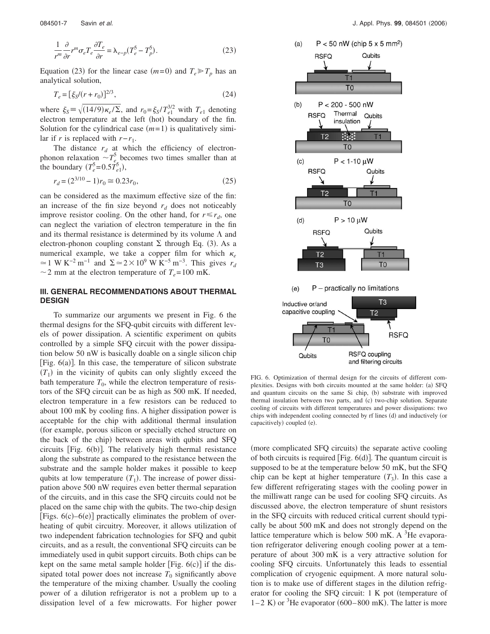$$
\frac{1}{r^m} \frac{\partial}{\partial r} r^m \sigma_e T_e \frac{\partial T_e}{\partial r} = \lambda_{e-p} (T_e^5 - T_p^5). \tag{23}
$$

Equation (23) for the linear case  $(m=0)$  and  $T_e \ge T_p$  has an analytical solution,

$$
T_e = \left[\xi_S/(r+r_0)\right]^{2/3},\tag{24}
$$

where  $\xi_S = \sqrt{(14/9)\kappa_e/\Sigma}$ , and  $r_0 = \xi_S/T_{e1}^{3/2}$  with  $T_{e1}$  denoting electron temperature at the left (hot) boundary of the fin. Solution for the cylindrical case  $(m=1)$  is qualitatively similar if *r* is replaced with  $r-r_1$ .

The distance  $r_d$  at which the efficiency of electronphonon relaxation  $\sim T_e^5$  becomes two times smaller than at the boundary  $(T_e^5 = 0.5 \tilde{T}_{e1}^5)$ ,

$$
r_d = (2^{3/10} - 1)r_0 \approx 0.23r_0,\tag{25}
$$

can be considered as the maximum effective size of the fin: an increase of the fin size beyond  $r_d$  does not noticeably improve resistor cooling. On the other hand, for  $r \le r_d$ , one can neglect the variation of electron temperature in the fin and its thermal resistance is determined by its volume  $\Lambda$  and electron-phonon coupling constant  $\Sigma$  through Eq. (3). As a numerical example, we take a copper film for which  $\kappa_e$  $\approx$  1 W K<sup>-2</sup> m<sup>-1</sup> and  $\Sigma \approx$  2 × 10<sup>9</sup> W K<sup>-5</sup> m<sup>-3</sup>. This gives  $r_d$  $\sim$  2 mm at the electron temperature of  $T_e$ = 100 mK.

### **III. GENERAL RECOMMENDATIONS ABOUT THERMAL DESIGN**

To summarize our arguments we present in Fig. 6 the thermal designs for the SFQ-qubit circuits with different levels of power dissipation. A scientific experiment on qubits controlled by a simple SFQ circuit with the power dissipation below 50 nW is basically doable on a single silicon chip [Fig.  $6(a)$ ]. In this case, the temperature of silicon substrate  $(T_1)$  in the vicinity of qubits can only slightly exceed the bath temperature  $T_0$ , while the electron temperature of resistors of the SFQ circuit can be as high as 500 mK. If needed, electron temperature in a few resistors can be reduced to about 100 mK by cooling fins. A higher dissipation power is acceptable for the chip with additional thermal insulation for example, porous silicon or specially etched structure on the back of the chip) between areas with qubits and SFQ circuits [Fig. 6(b)]. The relatively high thermal resistance along the substrate as compared to the resistance between the substrate and the sample holder makes it possible to keep qubits at low temperature  $(T_1)$ . The increase of power dissipation above 500 nW requires even better thermal separation of the circuits, and in this case the SFQ circuits could not be placed on the same chip with the qubits. The two-chip design [Figs. 6(c)–6(e)] practically eliminates the problem of overheating of qubit circuitry. Moreover, it allows utilization of two independent fabrication technologies for SFQ and qubit circuits, and as a result, the conventional SFQ circuits can be immediately used in qubit support circuits. Both chips can be kept on the same metal sample holder  $[Fig. 6(c)]$  if the dissipated total power does not increase  $T_0$  significantly above the temperature of the mixing chamber. Usually the cooling power of a dilution refrigerator is not a problem up to a dissipation level of a few microwatts. For higher power



FIG. 6. Optimization of thermal design for the circuits of different complexities. Designs with both circuits mounted at the same holder: (a) SFQ and quantum circuits on the same Si chip, (b) substrate with improved thermal insulation between two parts, and (c) two-chip solution. Separate cooling of circuits with different temperatures and power dissipations: two chips with independent cooling connected by rf lines (d) and inductively (or capacitively) coupled (e).

(more complicated SFQ circuits) the separate active cooling of both circuits is required [Fig.  $6(d)$ ]. The quantum circuit is supposed to be at the temperature below 50 mK, but the SFQ chip can be kept at higher temperature  $(T_3)$ . In this case a few different refrigerating stages with the cooling power in the milliwatt range can be used for cooling SFQ circuits. As discussed above, the electron temperature of shunt resistors in the SFQ circuits with reduced critical current should typically be about 500 mK and does not strongly depend on the lattice temperature which is below 500 mK. A  ${}^{3}$ He evaporation refrigerator delivering enough cooling power at a temperature of about 300 mK is a very attractive solution for cooling SFQ circuits. Unfortunately this leads to essential complication of cryogenic equipment. A more natural solution is to make use of different stages in the dilution refrigerator for cooling the SFQ circuit: 1 K pot (temperature of  $1-2$  K) or <sup>3</sup>He evaporator (600–800 mK). The latter is more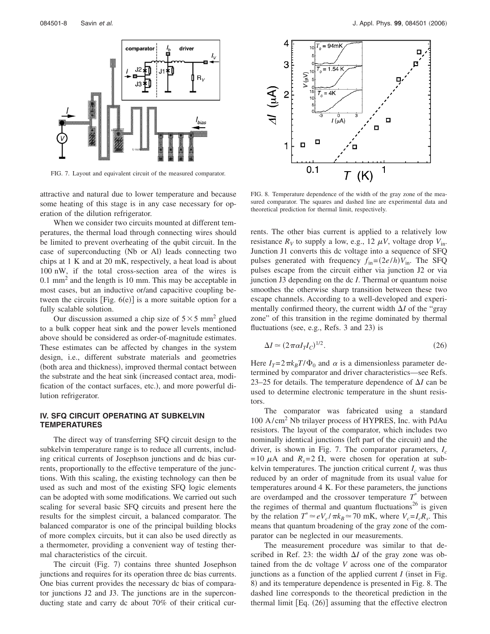

FIG. 7. Layout and equivalent circuit of the measured comparator.

attractive and natural due to lower temperature and because some heating of this stage is in any case necessary for operation of the dilution refrigerator.

When we consider two circuits mounted at different temperatures, the thermal load through connecting wires should be limited to prevent overheating of the qubit circuit. In the case of superconducting (Nb or Al) leads connecting two chips at 1 K and at 20 mK, respectively, a heat load is about 100 nW, if the total cross-section area of the wires is  $0.1$  mm<sup>2</sup> and the length is 10 mm. This may be acceptable in most cases, but an inductive or/and capacitive coupling between the circuits  $[Fig. 6(e)]$  is a more suitable option for a fully scalable solution.

Our discussion assumed a chip size of  $5 \times 5$  mm<sup>2</sup> glued to a bulk copper heat sink and the power levels mentioned above should be considered as order-of-magnitude estimates. These estimates can be affected by changes in the system design, i.e., different substrate materials and geometries (both area and thickness), improved thermal contact between the substrate and the heat sink (increased contact area, modification of the contact surfaces, etc.), and more powerful dilution refrigerator.

#### **IV. SFQ CIRCUIT OPERATING AT SUBKELVIN TEMPERATURES**

The direct way of transferring SFQ circuit design to the subkelvin temperature range is to reduce all currents, including critical currents of Josephson junctions and dc bias currents, proportionally to the effective temperature of the junctions. With this scaling, the existing technology can then be used as such and most of the existing SFQ logic elements can be adopted with some modifications. We carried out such scaling for several basic SFQ circuits and present here the results for the simplest circuit, a balanced comparator. The balanced comparator is one of the principal building blocks of more complex circuits, but it can also be used directly as a thermometer, providing a convenient way of testing thermal characteristics of the circuit.

The circuit (Fig. 7) contains three shunted Josephson junctions and requires for its operation three dc bias currents. One bias current provides the necessary dc bias of comparator junctions J2 and J3. The junctions are in the superconducting state and carry dc about 70% of their critical cur-



FIG. 8. Temperature dependence of the width of the gray zone of the measured comparator. The squares and dashed line are experimental data and theoretical prediction for thermal limit, respectively.

rents. The other bias current is applied to a relatively low resistance  $R_V$  to supply a low, e.g., 12  $\mu V$ , voltage drop  $V_{\text{in}}$ . Junction J1 converts this dc voltage into a sequence of SFQ pulses generated with frequency  $f_{in} = (2e/h)V_{in}$ . The SFQ pulses escape from the circuit either via junction J2 or via junction J3 depending on the dc *I*. Thermal or quantum noise smoothes the otherwise sharp transition between these two escape channels. According to a well-developed and experimentally confirmed theory, the current width  $\Delta I$  of the "gray" zone" of this transition in the regime dominated by thermal fluctuations (see, e.g., Refs. 3 and 23) is

$$
\Delta I \simeq (2\pi\alpha I_T I_C)^{1/2}.\tag{26}
$$

Here  $I_T = 2\pi k_B T/\Phi_0$  and  $\alpha$  is a dimensionless parameter determined by comparator and driver characteristics—see Refs. 23–25 for details. The temperature dependence of  $\Delta I$  can be used to determine electronic temperature in the shunt resistors.

The comparator was fabricated using a standard 100 A/cm2 Nb trilayer process of HYPRES, Inc. with PdAu resistors. The layout of the comparator, which includes two nominally identical junctions (left part of the circuit) and the driver, is shown in Fig. 7. The comparator parameters, *Ic*  $= 10 \mu A$  and  $R_s = 2 \Omega$ , were chosen for operation at subkelvin temperatures. The junction critical current  $I_c$  was thus reduced by an order of magnitude from its usual value for temperatures around 4 K. For these parameters, the junctions are overdamped and the crossover temperature  $T^*$  between the regimes of thermal and quantum fluctuations<sup>26</sup> is given by the relation  $T^* \simeq eV_c / \pi k_B \simeq 70$  mK, where  $V_c = I_c R_s$ . This means that quantum broadening of the gray zone of the comparator can be neglected in our measurements.

The measurement procedure was similar to that described in Ref. 23: the width  $\Delta I$  of the gray zone was obtained from the dc voltage *V* across one of the comparator junctions as a function of the applied current  $I$  (inset in Fig. 8) and its temperature dependence is presented in Fig. 8. The dashed line corresponds to the theoretical prediction in the thermal limit [Eq. (26)] assuming that the effective electron